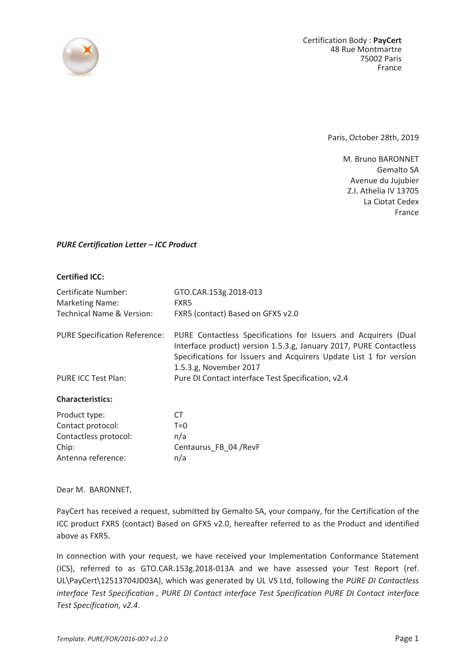

Paris, October 28th, 2019

M. Bruno BARONNET Gemalto SA Avenue du Jujubier Z.I. Athelia IV 13705 La Ciotat Cedex France

## *PURE Certification Letter – ICC Product*

## **Certified ICC:**

| Certificate Number:                  | GTO.CAR.153g.2018-013                                                                                                                                                                                                                 |
|--------------------------------------|---------------------------------------------------------------------------------------------------------------------------------------------------------------------------------------------------------------------------------------|
| <b>Marketing Name:</b>               | FXR5                                                                                                                                                                                                                                  |
| <b>Technical Name &amp; Version:</b> | FXR5 (contact) Based on GFX5 v2.0                                                                                                                                                                                                     |
| <b>PURE Specification Reference:</b> | PURE Contactless Specifications for Issuers and Acquirers (Dual<br>Interface product) version 1.5.3.g, January 2017, PURE Contactless<br>Specifications for Issuers and Acquirers Update List 1 for version<br>1.5.3.g, November 2017 |
| <b>PURE ICC Test Plan:</b>           | Pure DI Contact interface Test Specification, v2.4                                                                                                                                                                                    |
| <b>Characteristics:</b>              |                                                                                                                                                                                                                                       |
| Product type:                        | CT.                                                                                                                                                                                                                                   |
| Contact protocol:                    | $T=0$                                                                                                                                                                                                                                 |
| Contactless protocol:                | n/a                                                                                                                                                                                                                                   |
| Chip:                                | Centaurus FB 04 / RevF                                                                                                                                                                                                                |
| Antenna reference:                   | n/a                                                                                                                                                                                                                                   |

Dear M. BARONNET,

PayCert has received a request, submitted by Gemalto SA, your company, for the Certification of the ICC product FXR5 (contact) Based on GFX5 v2.0, hereafter referred to as the Product and identified above as FXR5.

In connection with your request, we have received your Implementation Conformance Statement (ICS), referred to as GTO.CAR.153g.2018-013A and we have assessed your Test Report (ref. UL\PayCert\12513704JD03A), which was generated by UL VS Ltd, following the *PURE DI Contactless interface Test Specification , PURE DI Contact interface Test Specification PURE DI Contact interface Test Specification, v2.4*.